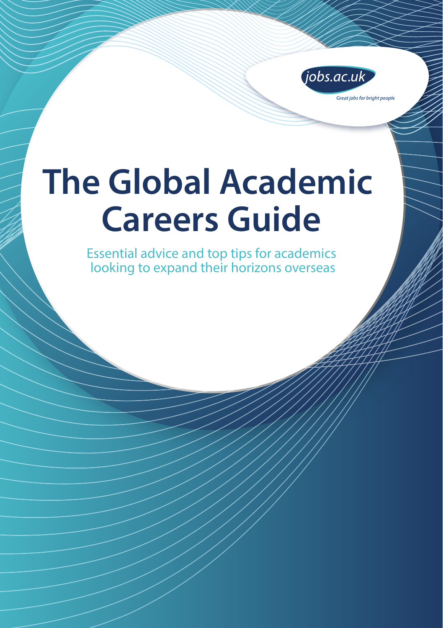

# **The Global Academic Careers Guide**

Essential advice and top tips for academics looking to expand their horizons overseas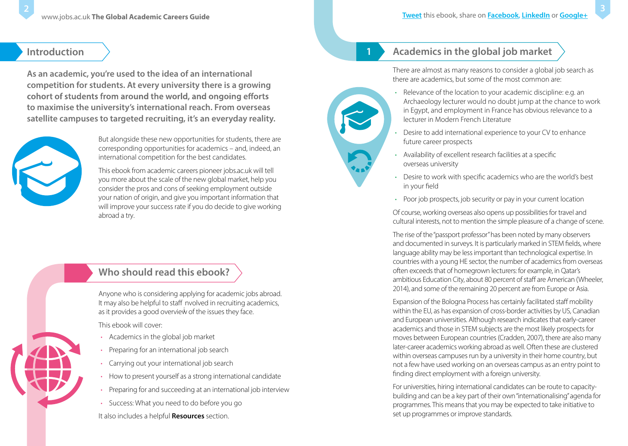### **Introduction**

**As an academic, you're used to the idea of an international competition for students. At every university there is a growing**  cohort of students from around the world, and ongoing efforts **to maximise the university's international reach. From overseas satellite campuses to targeted recruiting, it's an everyday reality.**



But alongside these new opportunities for students, there are corresponding opportunities for academics – and, indeed, an international competition for the best candidates.

This ebook from academic careers pioneer jobs.ac.uk will tell you more about the scale of the new global market, help you consider the pros and cons of seeking employment outside your nation of origin, and give you important information that will improve your success rate if you do decide to give working abroad a try.

# **Who should read this ebook?**

Anyone who is considering applying for academic jobs abroad. It may also be helpful to staff nvolved in recruiting academics, as it provides a good overview of the issues they face.

This ebook will cover:

- Academics in the global job market
- Preparing for an international job search
- Carrying out your international job search
- How to present yourself as a strong international candidate
- Preparing for and succeeding at an international job interview
- Success: What you need to do before you go

It also includes a helpful **Resources** section.

# **1**

# **Academics in the global job market**

There are almost as many reasons to consider a global job search as there are academics, but some of the most common are:

- Relevance of the location to your academic discipline: e.g. an Archaeology lecturer would no doubt jump at the chance to work in Egypt, and employment in France has obvious relevance to a lecturer in Modern French Literature
- Desire to add international experience to your CV to enhance future career prospects
- Availability of excellent research facilities at a specific overseas university
- Desire to work with specific academics who are the world's best in your field
- Poor job prospects, job security or pay in your current location

Of course, working overseas also opens up possibilitiesfor travel and cultural interests, not to mention the simple pleasure of a change of scene.

The rise of the"passport professor" has been noted by many observers and documented in surveys. It is particularly marked in STEM fields, where language ability may be less important than technological expertise. In countries with a young HE sector, the number of academics from overseas often exceeds that of homegrown lecturers: for example, in Qatar's ambitious Education City, about 80 percent of staff are American (Wheeler, 2014), and some of the remaining 20 percent are from Europe or Asia.

Expansion of the Bologna Process has certainly facilitated staff mobility within the EU, as has expansion of cross-border activities by US, Canadian and European universities. Although research indicates that early-career academics and those in STEM subjects are the most likely prospects for moves between European countries (Cradden, 2007), there are also many later-career academics working abroad as well. Often these are clustered within overseas campuses run by a university in their home country, but not a few have used working on an overseas campus as an entry point to finding direct employment with a foreign university.

For universities, hiring international candidates can be route to capacitybuilding and can be a key part of their own"internationalising" agenda for programmes. This means that you may be expected to take initiative to set up programmes or improve standards.

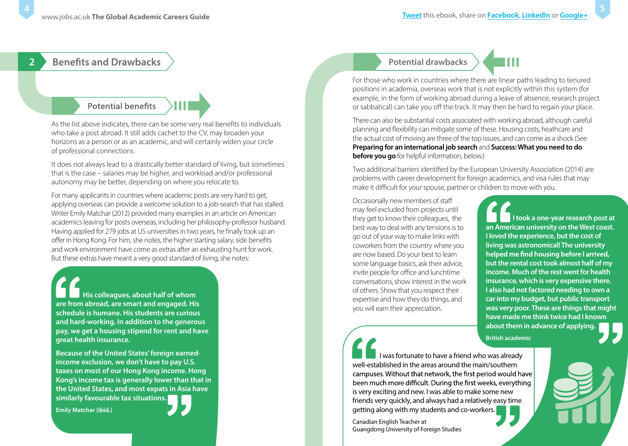#### **Benefits and Drawbacks 2**

### **Potential benefits**

As the list above indicates, there can be some very real benefits to individuals who take a post abroad. It still adds cachet to the CV, may broaden your horizons as a person or as an academic, and will certainly widen your circle of professional connections.

It does not always lead to a drastically better standard of living, but sometimes that is the case – salaries may be higher, and workload and/or professional autonomy may be better, depending on where you relocate to.

For many applicants in countries where academic posts are very hard to get, applying overseas can provide a welcome solution to a job-search that has stalled. Writer Emily Matchar (2012) provided many examples in an article on American academics leaving for posts overseas, including her philosophy-professor husband. Having applied for 279 jobs at US universities in two years, he finally took up an offer in Hong Kong. For him, she notes, the higher starting salary, side benefits and work environment have come as extras after an exhausting hunt for work. But these extras have meant a very good standard of living, she notes:

**His colleagues, about half of whom are from abroad, are smart and engaged. His schedule is humane. His students are curious and hard-working. In addition to the generous pay, we get a housing stipend for rent and have great health insurance.** 

**Because of the United States' foreign earnedincome exclusion, we don't have to pay U.S. taxes on most of our Hong Kong income. Hong Kong's income tax is generally lower than that in the United States, and most expats in Asia have similarly favourable tax situations.**

**Emily Matchar (ibid.)**

### **Potential drawbacks**



There can also be substantial costs associated with working abroad, although careful planning and flexibility can mitigate some of these. Housing costs, heathcare and the actual cost of moving are three of the top issues, and can come as a shock (See **[Preparing for an international job search](#page-3-0)** and **[Success: What you need to do](#page-7-0)  [before you go](#page-7-0)** for helpful information, below.)

Two additional barriers identified by the European University Association (2014) are problems with career development for foreign academics, and visa rules that may make it difficult for your spouse, partner or children to move with you.

Occasionally new members of sta may feel excluded from projects until they get to know their colleagues, the best way to deal with any tensions is to go out of your way to make links with coworkers from the country where you are now based. Do your best to learn some language basics, ask their advice, invite people for office and lunchtime conversations, show interest in the work of others. Show that you respect their expertise and how they do things, and you will earn their appreciation.

**I took a one-year research post at an American university on the West coast. I loved the experience, but the cost of living was astronomical! The university**  helped me find housing before I arrived, **but the rental cost took almost half of my income. Much of the rest went for health insurance, which is very expensive there. I also had not factored needing to own a car into my budget, but public transport was very poor. These are things that might have made me think twice had I known about them in advance of applying.**

**5**

**British academic**

I was fortunate to have a friend who was already well-established in the areas around the main/southern campuses. Without that network, the first period would have been much more difficult. During the first weeks, everything is very exciting and new. I was able to make some new friends very quickly, and always had a relatively easy time getting along with my students and co-workers.

Canadian English Teacher at Guangdong University of Foreign Studies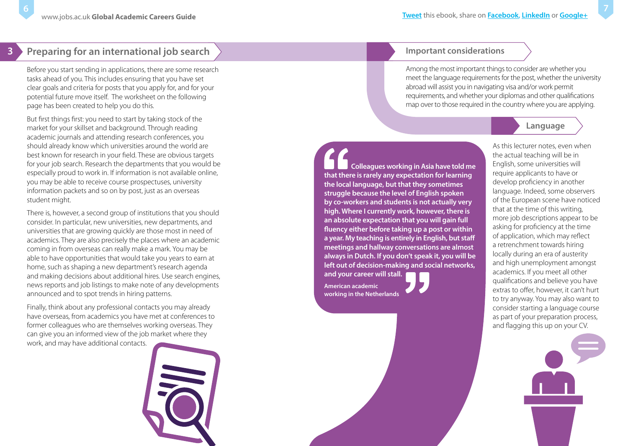<span id="page-3-0"></span>**6**

# **Preparing for an international job search**

Before you start sending in applications, there are some research tasks ahead of you. This includes ensuring that you have set clear goals and criteria for posts that you apply for, and for your potential future move itself. The worksheet on the following page has been created to help you do this.

But first things first: you need to start by taking stock of the market for your skillset and background. Through reading academic journals and attending research conferences, you should already know which universities around the world are best known for research in your field. These are obvious targets for your job search. Research the departments that you would be especially proud to work in. If information is not available online, you may be able to receive course prospectuses, university information packets and so on by post, just as an overseas student might.

There is, however, a second group of institutions that you should consider. In particular, new universities, new departments, and universities that are growing quickly are those most in need of academics. They are also precisely the places where an academic coming in from overseas can really make a mark. You may be able to have opportunities that would take you years to earn at home, such as shaping a new department's research agenda and making decisions about additional hires. Use search engines, news reports and job listings to make note of any developments announced and to spot trends in hiring patterns.

Finally, think about any professional contacts you may already have overseas, from academics you have met at conferences to former colleagues who are themselves working overseas. They can give you an informed view of the job market where they work, and may have additional contacts.



#### **Important considerations**

Among the most important things to consider are whether you meet the language requirements for the post, whether the university abroad will assist you in navigating visa and/or work permit requirements, and whether your diplomas and other qualifications map over to those required in the country where you are applying.



**Colleagues working in Asia have told me that there is rarely any expectation for learning the local language, but that they sometimes struggle because the level of English spoken by co-workers and students is not actually very high. Where I currently work, however, there is an absolute expectation that you will gain full fluency either before taking up a post or within a year. My teaching is entirely in English, but staff meetings and hallway conversations are almost always in Dutch. If you don't speak it, you will be left out of decision-making and social networks,** 

**and your career will stall. American academic working in the Netherlands**

As this lecturer notes, even when the actual teaching will be in English, some universities will require applicants to have or develop proficiency in another language. Indeed, some observers of the European scene have noticed that at the time of this writing, more job descriptions appear to be asking for proficiency at the time of application, which may reflect a retrenchment towards hiring locally during an era of austerity and high unemployment amongst academics. If you meet all other qualifications and believe you have extras to offer, however, it can't hurt to try anyway. You may also want to consider starting a language course as part of your preparation process, and flagging this up on your CV.

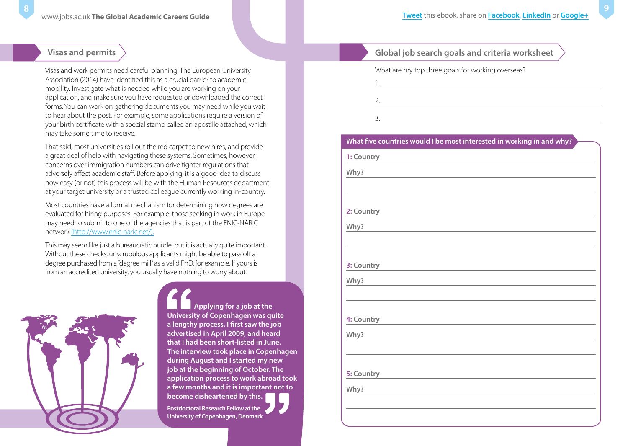### **Visas and permits**

Visas and work permits need careful planning. The European University Association (2014) have identified this as a crucial barrier to academic mobility. Investigate what is needed while you are working on your application, and make sure you have requested or downloaded the correct forms. You can work on gathering documents you may need while you wait to hear about the post. For example, some applications require a version of your birth certificate with a special stamp called an apostille attached, which may take some time to receive.

That said, most universities roll out the red carpet to new hires, and provide a great deal of help with navigating these systems. Sometimes, however, concerns over immigration numbers can drive tighter regulations that adversely affect academic staff. Before applying, it is a good idea to discuss how easy (or not) this process will be with the Human Resources department at your target university or a trusted colleague currently working in-country.

Most countries have a formal mechanism for determining how degrees are evaluated for hiring purposes. For example, those seeking in work in Europe may need to submit to one of the agencies that is part of the ENIC-NARIC network [\(http://www.enic-naric.net/\).](http://www.enic-naric.net)

This may seem like just a bureaucratic hurdle, but it is actually quite important. Without these checks, unscrupulous applicants might be able to pass off a degree purchased from a"degree mill"as a valid PhD, for example. If yours is from an accredited university, you usually have nothing to worry about.



**Applying for a job at the University of Copenhagen was quite a lengthy process. I first saw the job advertised in April 2009, and heard that I had been short-listed in June. The interview took place in Copenhagen during August and I started my new job at the beginning of October. The application process to work abroad took a few months and it is important not to become disheartened by this.**

**Postdoctoral Research Fellow at the University of Copenhagen, Denmark**

### **Global job search goals and criteria worksheet**

the control of the control of the control of the control of the control of

What are my top three goals for working overseas?

| I<br>× |  |
|--------|--|

1.

3.

#### **What five countries would I be most interested in working in and why?**

**1: Country**

**Why?**

**2: Country**

**Why?**

**3: Country**

**Why?**

**4: Country**

**Why?**

**5: Country**

**Why?**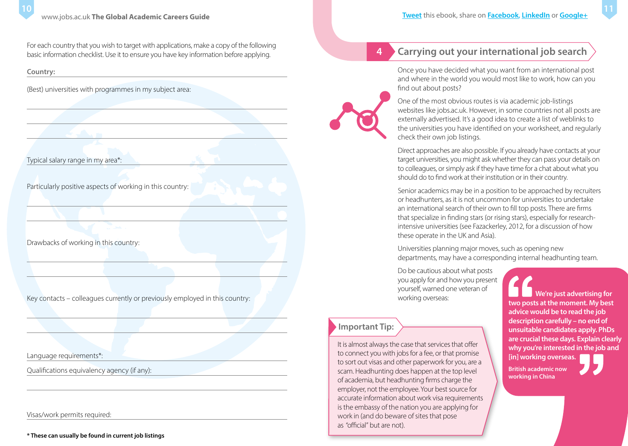For each country that you wish to target with applications, make a copy of the following basic information checklist. Use it to ensure you have key information before applying.

**Country:**

(Best) universities with programmes in my subject area:

Typical salary range in my area\*:

Particularly positive aspects of working in this country:

Drawbacks of working in this country:

Key contacts – colleagues currently or previously employed in this country:

Language requirements\*:

Qualifications equivalency agency (if any):

Visas/work permits required:

# **Carrying out your international job search**

Once you have decided what you want from an international post and where in the world you would most like to work, how can you find out about posts?



**4**

One of the most obvious routes is via academic job-listings websites like jobs.ac.uk. However, in some countries not all posts are externally advertised. It's a good idea to create a list of weblinks to the universities you have identified on your worksheet, and regularly check their own job listings.

Direct approaches are also possible. If you already have contacts at your target universities, you might ask whether they can pass your details on to colleagues, or simply ask if they have time for a chat about what you should do to find work at their institution or in their country.

Senior academics may be in a position to be approached by recruiters or headhunters, as it is not uncommon for universities to undertake an international search of their own to fill top posts. There are firms that specialize in finding stars (or rising stars), especially for researchintensive universities (see Fazackerley, 2012, for a discussion of how these operate in the UK and Asia).

Universities planning major moves, such as opening new departments, may have a corresponding internal headhunting team.

Do be cautious about what posts you apply for and how you present yourself, warned one veteran of working overseas:

### **Important Tip:**

It is almost always the case that services that offer to connect you with jobs for a fee, or that promise to sort out visas and other paperwork for you, are a scam. Headhunting does happen at the top level of academia, but headhunting firms charge the employer, not the employee. Your best source for accurate information about work visa requirements is the embassy of the nation you are applying for work in (and do beware of sites that pose as "official" but are not).

**We're just advertising for two posts at the moment. My best advice would be to read the job description carefully – no end of unsuitable candidates apply. PhDs are crucial these days. Explain clearly why you're interested in the job and [in] working overseas.**

**British academic now working in China**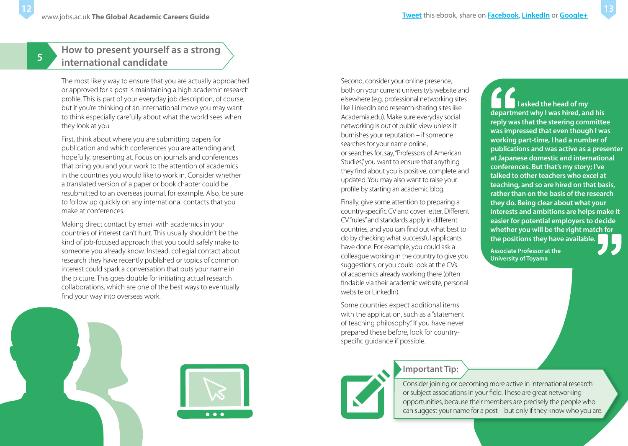**5**

# **How to present yourself as a strong international candidate**

The most likely way to ensure that you are actually approached or approved for a post is maintaining a high academic research profile. This is part of your everyday job description, of course, but if you're thinking of an international move you may want to think especially carefully about what the world sees when they look at you.

First, think about where you are submitting papers for publication and which conferences you are attending and, hopefully, presenting at. Focus on journals and conferences that bring you and your work to the attention of academics in the countries you would like to work in. Consider whether a translated version of a paper or book chapter could be resubmitted to an overseas journal, for example. Also, be sure to follow up quickly on any international contacts that you make at conferences.

Making direct contact by email with academics in your countries of interest can't hurt. This usually shouldn't be the kind of job-focused approach that you could safely make to someone you already know. Instead, collegial contact about research they have recently published or topics of common interest could spark a conversation that puts your name in the picture. This goes double for initiating actual research collaborations, which are one of the best ways to eventually find your way into overseas work.





Second, consider your online presence, both on your current university's website and elsewhere (e.g. professional networking sites like LinkedIn and research-sharing sites like Academia.edu). Make sure everyday social networking is out of public view unless it burnishes your reputation – if someone searches for your name online, or searches for, say, "Professors of American Studies," you want to ensure that anything they find about you is positive, complete and updated. You may also want to raise your profile by starting an academic blog.

Finally, give some attention to preparing a country-specific CV and cover letter. Different CV"rules"and standards apply in different countries, and you can find out what best to do by checking what successful applicants have done. For example, you could ask a colleague working in the country to give you suggestions, or you could look at the CVs of academics already working there (often findable via their academic website, personal website or LinkedIn).

Some countries expect additional items with the application, such as a "statement of teaching philosophy." If you have never prepared these before, look for countryspecific guidance if possible.



**Important Tip:**

Consider joining or becoming more active in international research or subject associations in your field. These are great networking opportunities, because their members are precisely the people who can suggest your name for a post – but only if they know who you are.

**I asked the head of my department why I was hired, and his reply was that the steering committee was impressed that even though I was working part-time, I had a number of publications and was active as a presenter at Japanese domestic and international conferences. But that's my story; I've talked to other teachers who excel at teaching, and so are hired on that basis, rather than on the basis of the research they do. Being clear about what your interests and ambitions are helps make it easier for potential employers to decide whether you will be the right match for the positions they have available.**

**Associate Professor at the University of Toyama**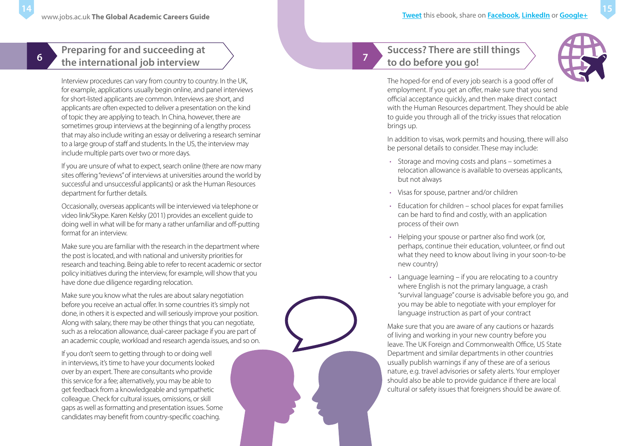# **Preparing for and succeeding at the international job interview**

<span id="page-7-0"></span>**6**

Interview procedures can vary from country to country. In the UK, for example, applications usually begin online, and panel interviews for short-listed applicants are common. Interviews are short, and applica nts a re often expected to deliver a presentation on the kind of topic th ey are apply ing to teach. In China, however, there are sometimes group interviews at the beginning of a le ngthy process that m ay also in clude writing an essay or delivering a research seminar to a large group of staff and students. In the US, the interview may include multiple parts over two or more days.

If you are unsure of what to expect, search online (there are now many sites offering "reviews" of interviews at universities around the world by suc cess ful and unsuccessful applicants) or ask the Human Resources department for further details.

Occasionall y, overseas applicants will be interviewed via telephone or video li nk/S kyp e. Karen Kelsky (2011 ) provides an excellent guide to doing well in what will be for many a rather unfamiliar and off-putting format for an interview.

Make sure you are familiar with the research in the department where the post is located, and with national and university priorities for research and teaching. Be ing able to refer to recent academic orsector policy initiatives during the interview, for example, will show that you have done due d iligence rega rding relocation .

Make sure you know what the rules are about salary negotiation before you recei ve a n a ctual oer. In some countries it's simply not done, in others it is expected and willseriously improve your position. Alo ng w ith salary, there may be other things that you can neg otiate, suc h as a rel ocation all owance, dual-career package if you are part of an academic couple, workload and research agenda issues, and so on.

If you don't seem to getting through to or doing well in interviews, it's time to have you r do cume nts looked over by an expert. There are consultants who provide this se rvice for a fee; alternatively, you m ay be able to get feedback from a knowledgeable and sympat hetic colleague. Check for cultural issues, omissions, or skill gaps as well as formatting and presentation issues. Some candida tes m ay benefit from country-specific coaching.

# **Success? There are still things to do before you go!**

**7**



The hoped-for end of every job search is a good offer of employment. If you get an offer, make sure that you send official acceptance quickly, and then make direct contact with the Human Resources department. They should be able to guide you through all of the tricky issues that relocation brings up.

In addition to visas, work permits and housing, there will also be personal details to consider. These may include:

- Storage and moving costs and plans sometimes a relocation allowance is available to overseas applicants, but not always
- Visas for spouse, partner and/or children
- Education for children school places for expat families can be hard to find and costly, with an application process of their own
- Helping your spouse or partner also find work (or, perhaps, continue their education, volunteer, or find out what they need to know about living in your soon-to-be new country)
- Language learning if you are relocating to a country where English is not the primary language, a crash "survival language" course is advisable before you go, and you may be able to negotiate with your employer for language instruction as part of your contract

Make sure that you are aware of any cautions or hazards of living and working in your new country before you leave. The UK Foreign and Commonwealth Office, US State Department and similar departments in other countries usually publish warnings if any of these are of a serious nature, e.g. travel advisories or safety alerts. Your employer should also be able to provide guidance if there are local cultural or safety issues that foreigners should be aware of.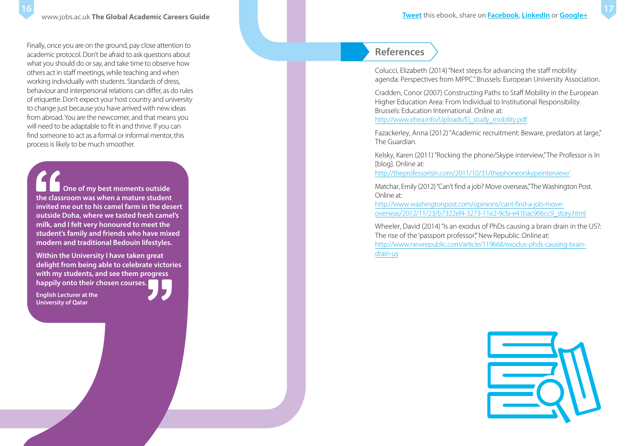**16**

Finally, once you are on the ground, pay close attention to academic protocol. Don't be afraid to ask questions about what you should do or say, and take time to observe how others act in staff meetings, while teaching and when working individually with students. Standards of dress, behaviour and interpersonal relations can differ, as do rules of etiquette. Don't expect your host country and university to change just because you have arrived with new ideas from abroad. You are the newcomer, and that means you will need to be adaptable to fit in and thrive. If you can find someone to act as a formal or informal mentor, this process is likely to be much smoother.

**One of my best moments outside the classroom was when a mature student invited me out to his camel farm in the desert outside Doha, where we tasted fresh camel's milk, and I felt very honoured to meet the student's family and friends who have mixed modern and traditional Bedouin lifestyles.**

**Within the University I have taken great delight from being able to celebrate victories with my students, and see them progress happily onto their chosen courses.**

**English Lecturer at the University of Qatar**



### **References**

Colucci, Elizabeth (2014) "Next steps for advancing the staff mobility agenda: Perspectives from MPPC." Brussels: European University Association.

Cradden, Conor (2007) Constructing Paths to Staff Mobility in the European Higher Education Area: From Individual to Institutional Responsibility. Brussels: Education International. Online at: http://www.ehea.info/Uploads/El\_study\_mobility.pdf

Fazackerley, Anna (2012) "Academic recruitment: Beware, predators at large," The Guardian.

Kelsky, Karen (2011) "Rocking the phone/Skype interview," The Professor is In

[blog]. Online at:<br><u>http://theprofessorisin.com/2011/10/31/thephoneorskypeinterview/</u>

Matchar, Emily (2012)"Can't find a jo b? Move overseas ," The Washington Post. Online at:<br><u>http://www.washingtonpost.com/opinions/cant-find-a-job-move</u>-

[overseas/2012/11/23/b7322ef4-3273-11e2-9cfa-e41bac906cc9\\_story.html](http://www.washingtonpost.com/opinions/cant-find-a-job-move-overseas/2012/11/23/b7322ef4-3273-11e2-9cfa-e41bac906cc9_story.html)

Wheeler, David (2014) "Is an exodus of PhDs causing a brain drain in the US?:<br>The rise of the 'passport professor" New Republic. Online at: [http://www.newrepublic.com/article/119668/exodus-phds-causing-brain](http://www.newrepublic.com/article/119668/exodus-phds-causing-brain-drain-us)[drain-us](http://www.newrepublic.com/article/119668/exodus-phds-causing-brain-drain-us)

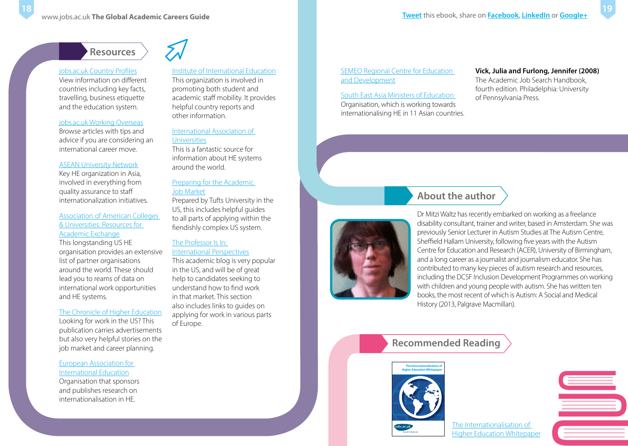# **Resources**

#### [jobs.ac.uk Country Profiles](http://www.jobs.ac.uk/careers-advice/country-profiles/)

**18**

View information on different countries including key facts, travelling, business etiquette and the education system.

#### [jobs.ac.uk Working Overseas](http://www.jobs.ac.uk/careers-advice/working-overseas/)

Browse articles with tips and advice if you are considering an international career move.

#### [ASEAN University Network](http://www.aunsec.org)

Key HE organization in Asia, involved in everything from quality assurance to staff internationalization initiatives.

#### [Association of American Colleges](https://www.aacu.org/publications-research/periodicals/resources-academic-exchange)  & Universities: Resources for Academic Exchange

This longstanding US HE organisation provides an extensive list of partner organisations around the world. These should lead you to reams of data on international work opportunities and HE systems.

#### [The Chronicle of Higher Education](https://www.chronicle.com)

Looking for work in the US? This publication carries advertisements but also very helpful stories on the job market and career planning.

#### [European Association for](https://www.eaie.org)  International Education

Organisation that sponsors and publishes research on internationalisation in HE.

#### [Institute of International Education](https://www.iie.org)

This organization is involved in promoting both student and academic staff mobility. It provides helpful country reports and other information.

#### [International Association of](https://iau-aiu.net)

#### Universities

This is a fantastic source for information about HE systems around the world.

#### [Preparing for the Academic](http://students.tufts.edu/career-center)  Job Market

Prepared by Tufts University in the US, this includes helpful guides to all parts of applying within the fiendishly complex US system.

#### The Professor Is In: [International Perspectives](http://theprofessorisin.com/category/international-perspectives/)

This academic blog is very popular in the US, and will be of great help to candidates seeking to understand how to find work in that market. This section also includes links to guides on applying for work in various parts of Europe.

#### [SEMEO Regional Centre for Education](http://rihed.seameo.org)  and Development

[South East Asia Ministers of Education](http://www.seameo.org/SEAMEOWeb2/)  Organisation, which is working towards internationalising HE in 11 Asian countries.

### **Vick, Julia and Furlong, Jennifer (2008)**

The Academic Job Search Handbook, fourth edition. Philadelphia: University of Pennsylvania Press.

# **About the author**



Dr Mitzi Waltz has recently embarked on working as a freelance disability consultant, trainer and writer, based in Amsterdam. She was previously Senior Lecturer in Autism Studies at The Autism Centre, Sheffield Hallam University, following five years with the Autism Centre for Education and Research (ACER), University of Birmingham, and a long career as a journalist and journalism educator. She has contributed to many key pieces of autism research and resources, including the DCSF Inclusion Development Programmes on working with children and young people with autism. She has written ten books, the most recent of which is Autism: A Social and Medical History (2013, Palgrave Macmillan).

### **Recommended Reading**



The Internationalisation of [Higher Education Whitepaper](http://www.jobs.ac.uk/media/pdf/careers/resources/the-internationalisation-of-higher-education-whitepaper.pdf)